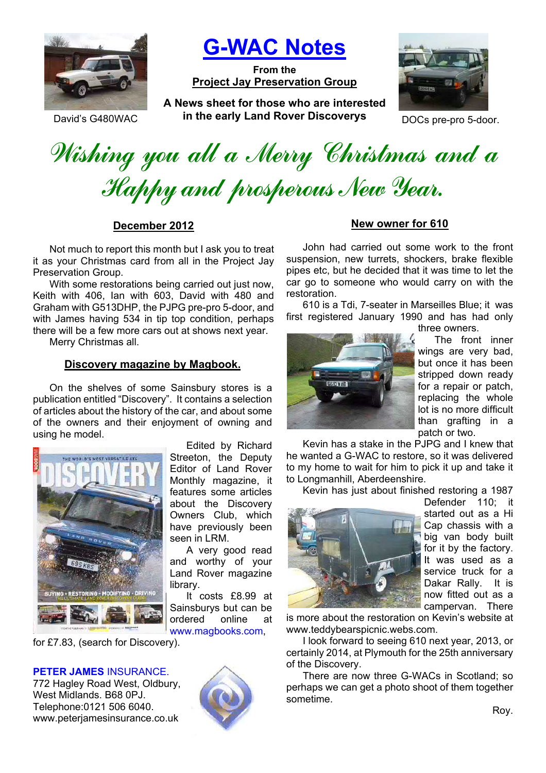

**G-WAC Notes**

**From the Project Jay Preservation Group**

**A News sheet for those who are interested**  David's G480WAC **in the early Land Rover Discoverys** DOCs pre-pro 5-door.



Wishing you all a Merry Christmas and a Happy and prosperous New Year.

**December 2012**

Not much to report this month but I ask you to treat it as your Christmas card from all in the Project Jay Preservation Group.

With some restorations being carried out just now, Keith with 406, Ian with 603, David with 480 and Graham with G513DHP, the PJPG pre-pro 5-door, and with James having 534 in tip top condition, perhaps there will be a few more cars out at shows next year.

Merry Christmas all.

#### **Discovery magazine by Magbook.**

On the shelves of some Sainsbury stores is a publication entitled "Discovery". It contains a selection of articles about the history of the car, and about some of the owners and their enjoyment of owning and using he model.



Edited by Richard Streeton, the Deputy Editor of Land Rover Monthly magazine, it features some articles about the Discovery Owners Club, which have previously been seen in LRM.

A very good read and worthy of your Land Rover magazine library.

It costs £8.99 at Sainsburys but can be ordered online at www.magbooks.com,

for £7.83, (search for Discovery).

#### **PETER JAMES** INSURANCE.

772 Hagley Road West, Oldbury, West Midlands. B68 0PJ. Telephone:0121 506 6040. www.peterjamesinsurance.co.uk



# **New owner for 610**

John had carried out some work to the front suspension, new turrets, shockers, brake flexible pipes etc, but he decided that it was time to let the car go to someone who would carry on with the restoration.

610 is a Tdi, 7-seater in Marseilles Blue; it was first registered January 1990 and has had only three owners.



The front inner wings are very bad, but once it has been stripped down ready for a repair or patch, replacing the whole lot is no more difficult than grafting in a patch or two.

Kevin has a stake in the PJPG and I knew that he wanted a G-WAC to restore, so it was delivered to my home to wait for him to pick it up and take it to Longmanhill, Aberdeenshire.

Kevin has just about finished restoring a 1987



Defender 110; it started out as a Hi Cap chassis with a big van body built for it by the factory. It was used as a service truck for a Dakar Rally. It is now fitted out as a campervan. There

is more about the restoration on Kevin's website at www.teddybearspicnic.webs.com.

I look forward to seeing 610 next year, 2013, or certainly 2014, at Plymouth for the 25th anniversary of the Discovery.

There are now three G-WACs in Scotland; so perhaps we can get a photo shoot of them together sometime.